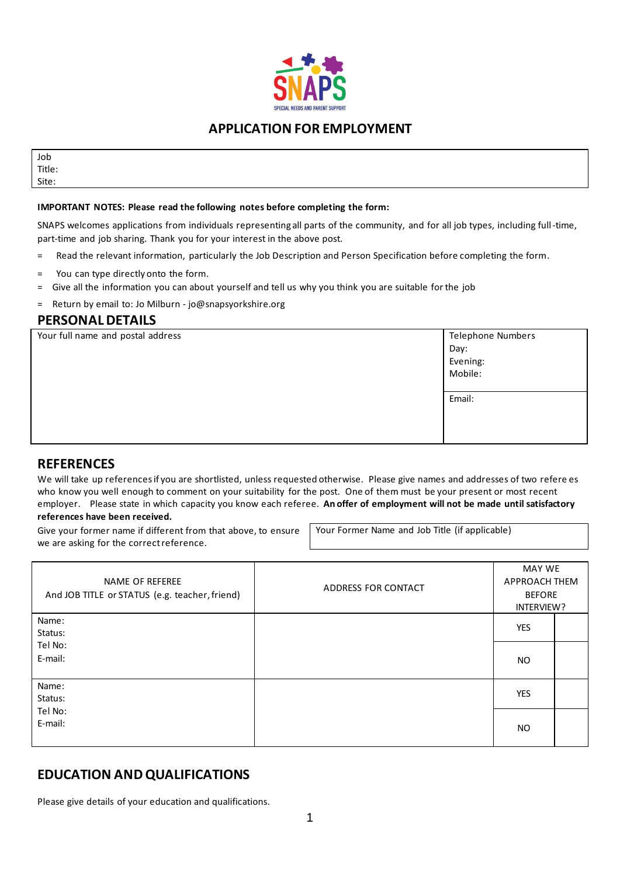

### **APPLICATION FOR EMPLOYMENT**

Job Title: Site:

#### **IMPORTANT NOTES: Please read the following notes before completing the form:**

SNAPS welcomes applications from individuals representing all parts of the community, and for all job types, including full-time, part-time and job sharing. Thank you for your interest in the above post.

- = Read the relevant information, particularly the Job Description and Person Specification before completing the form.
- You can type directly onto the form.
- = Give all the information you can about yourself and tell us why you think you are suitable for the job
- = Return by email to: Jo Milburn jo@snapsyorkshire.org

### **PERSONAL DETAILS**

| Your full name and postal address | Telephone Numbers |
|-----------------------------------|-------------------|
|                                   | Day:              |
|                                   | Evening:          |
|                                   | Mobile:           |
|                                   |                   |
|                                   | Email:            |
|                                   |                   |
|                                   |                   |
|                                   |                   |
|                                   |                   |

### **REFERENCES**

We will take up references if you are shortlisted, unless requested otherwise. Please give names and addresses of two refere es who know you well enough to comment on your suitability for the post. One of them must be your present or most recent employer. Please state in which capacity you know each referee. **An offer of employment will not be made until satisfactory references have been received.**

Give your former name if different from that above, to ensure we are asking for the correct reference.

Your Former Name and Job Title (if applicable)

| NAME OF REFEREE<br>And JOB TITLE or STATUS (e.g. teacher, friend) | ADDRESS FOR CONTACT | MAY WE<br><b>APPROACH THEM</b><br><b>BEFORE</b><br>INTERVIEW? |  |
|-------------------------------------------------------------------|---------------------|---------------------------------------------------------------|--|
| Name:                                                             |                     |                                                               |  |
| Status:                                                           |                     | <b>YES</b>                                                    |  |
| Tel No:                                                           |                     |                                                               |  |
| E-mail:                                                           |                     | <b>NO</b>                                                     |  |
| Name:                                                             |                     |                                                               |  |
| Status:                                                           |                     | <b>YES</b>                                                    |  |
| Tel No:                                                           |                     |                                                               |  |
| E-mail:                                                           |                     | <b>NO</b>                                                     |  |

## **EDUCATION AND QUALIFICATIONS**

Please give details of your education and qualifications.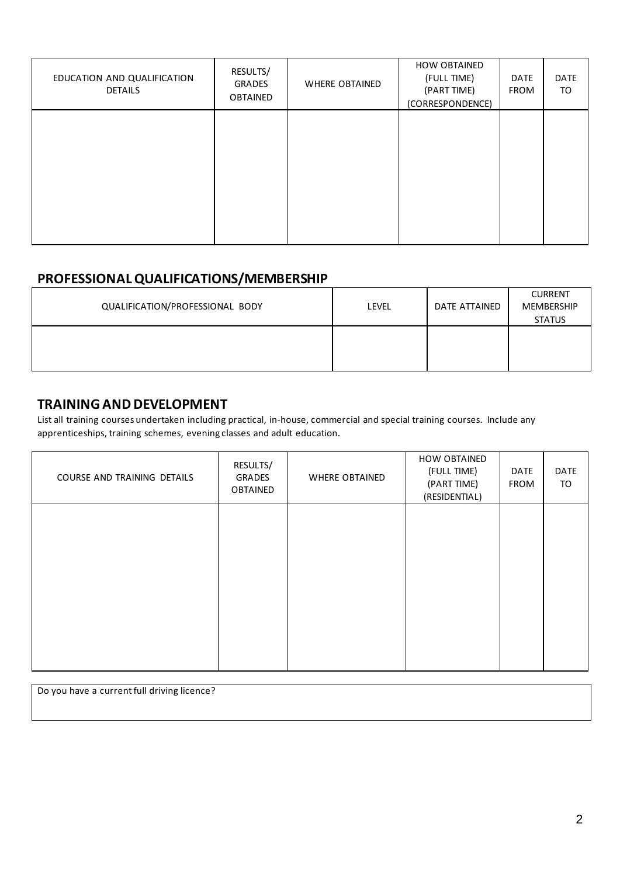| EDUCATION AND QUALIFICATION<br><b>DETAILS</b> | RESULTS/<br><b>GRADES</b><br><b>OBTAINED</b> | <b>WHERE OBTAINED</b> | <b>HOW OBTAINED</b><br>(FULL TIME)<br>(PART TIME)<br>(CORRESPONDENCE) | <b>DATE</b><br><b>FROM</b> | <b>DATE</b><br>TO |
|-----------------------------------------------|----------------------------------------------|-----------------------|-----------------------------------------------------------------------|----------------------------|-------------------|
|                                               |                                              |                       |                                                                       |                            |                   |
|                                               |                                              |                       |                                                                       |                            |                   |
|                                               |                                              |                       |                                                                       |                            |                   |

## **PROFESSIONAL QUALIFICATIONS/MEMBERSHIP**

| QUALIFICATION/PROFESSIONAL BODY | LEVEL | DATE ATTAINED | <b>CURRENT</b><br><b>MEMBERSHIP</b><br><b>STATUS</b> |
|---------------------------------|-------|---------------|------------------------------------------------------|
|                                 |       |               |                                                      |

## **TRAINING AND DEVELOPMENT**

List all training courses undertaken including practical, in-house, commercial and special training courses. Include any apprenticeships, training schemes, evening classes and adult education.

| COURSE AND TRAINING DETAILS | RESULTS/<br>GRADES<br>OBTAINED | <b>WHERE OBTAINED</b> | HOW OBTAINED<br>(FULL TIME)<br>(PART TIME)<br>(RESIDENTIAL) | DATE<br>FROM | DATE<br>TO |
|-----------------------------|--------------------------------|-----------------------|-------------------------------------------------------------|--------------|------------|
|                             |                                |                       |                                                             |              |            |
|                             |                                |                       |                                                             |              |            |
|                             |                                |                       |                                                             |              |            |
|                             |                                |                       |                                                             |              |            |

Do you have a current full driving licence?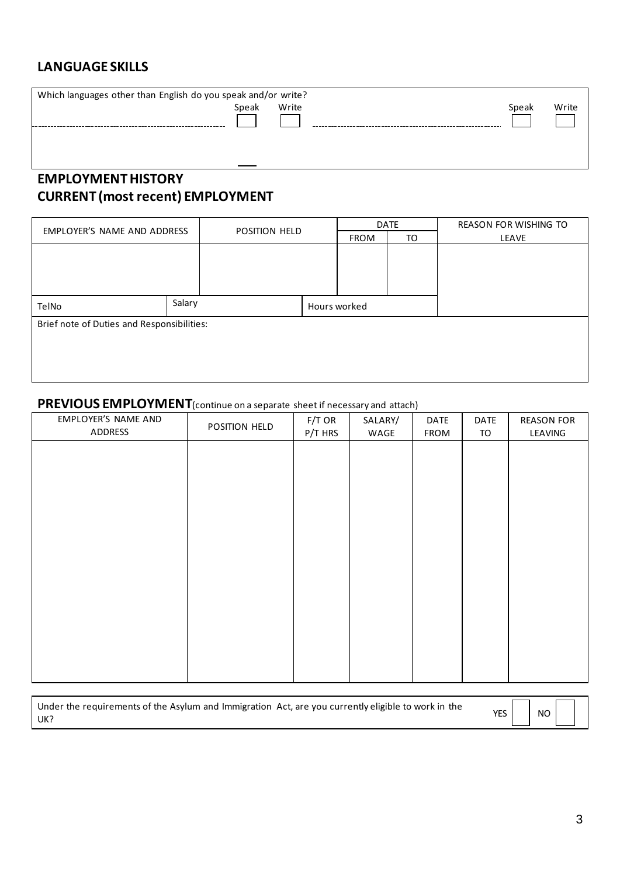## **LANGUAGE SKILLS**

| Which languages other than English do you speak and/or write? |       |       |       |       |
|---------------------------------------------------------------|-------|-------|-------|-------|
|                                                               | Speak | Write | Speak | Write |
|                                                               |       |       |       |       |
|                                                               |       |       |       |       |
|                                                               |       |       |       |       |
|                                                               |       |       |       |       |
|                                                               |       |       |       |       |

# **EMPLOYMENT HISTORY CURRENT (most recent) EMPLOYMENT**

| EMPLOYER'S NAME AND ADDRESS                |  | POSITION HELD |  |              | <b>DATE</b> | <b>REASON FOR WISHING TO</b> |
|--------------------------------------------|--|---------------|--|--------------|-------------|------------------------------|
|                                            |  |               |  |              | TO          | <b>LEAVE</b>                 |
|                                            |  |               |  |              |             |                              |
|                                            |  |               |  |              |             |                              |
|                                            |  |               |  |              |             |                              |
|                                            |  |               |  |              |             |                              |
| TelNo                                      |  | Salary        |  | Hours worked |             |                              |
| Brief note of Duties and Responsibilities: |  |               |  |              |             |                              |
|                                            |  |               |  |              |             |                              |
|                                            |  |               |  |              |             |                              |
|                                            |  |               |  |              |             |                              |
|                                            |  |               |  |              |             |                              |

## **PREVIOUS EMPLOYMENT**(continue on a separate sheet if necessary and attach)

| EMPLOYER'S NAME AND<br>ADDRESS | POSITION HELD | $F/T$ OR<br>P/T HRS | SALARY/<br>WAGE | DATE<br>FROM | DATE<br>TO | <b>REASON FOR</b><br>LEAVING |
|--------------------------------|---------------|---------------------|-----------------|--------------|------------|------------------------------|
|                                |               |                     |                 |              |            |                              |
|                                |               |                     |                 |              |            |                              |
|                                |               |                     |                 |              |            |                              |
|                                |               |                     |                 |              |            |                              |
|                                |               |                     |                 |              |            |                              |
|                                |               |                     |                 |              |            |                              |
|                                |               |                     |                 |              |            |                              |
|                                |               |                     |                 |              |            |                              |
|                                |               |                     |                 |              |            |                              |

| Under the requirements of the Asylum and Immigration Act, are you currently eligible to work in the | YES | $\Box$ NO |  |
|-----------------------------------------------------------------------------------------------------|-----|-----------|--|
| UK?                                                                                                 |     |           |  |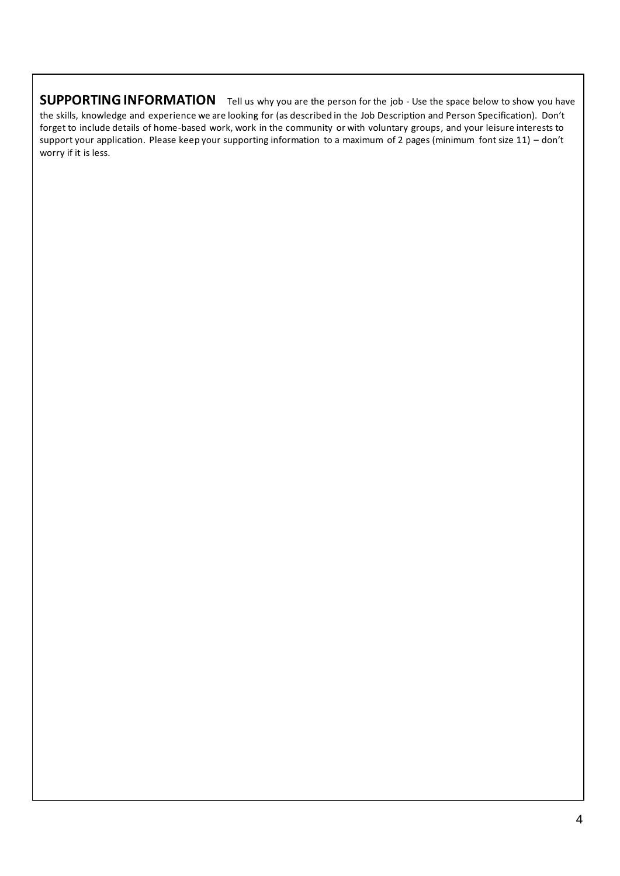## **SUPPORTING INFORMATION** Tell us why you are the person for the job - Use the space below to show you have

the skills, knowledge and experience we are looking for (as described in the Job Description and Person Specification). Don't forget to include details of home-based work, work in the community or with voluntary groups, and your leisure interests to support your application. Please keep your supporting information to a maximum of 2 pages (minimum font size 11) – don't worry if it is less.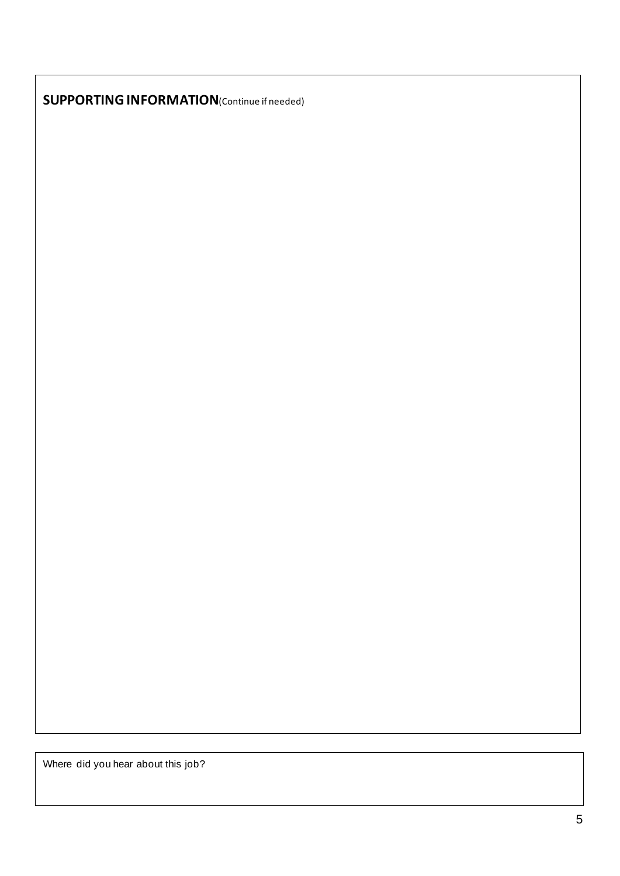**SUPPORTING INFORMATION**(Continue if needed)

Where did you hear about this job?